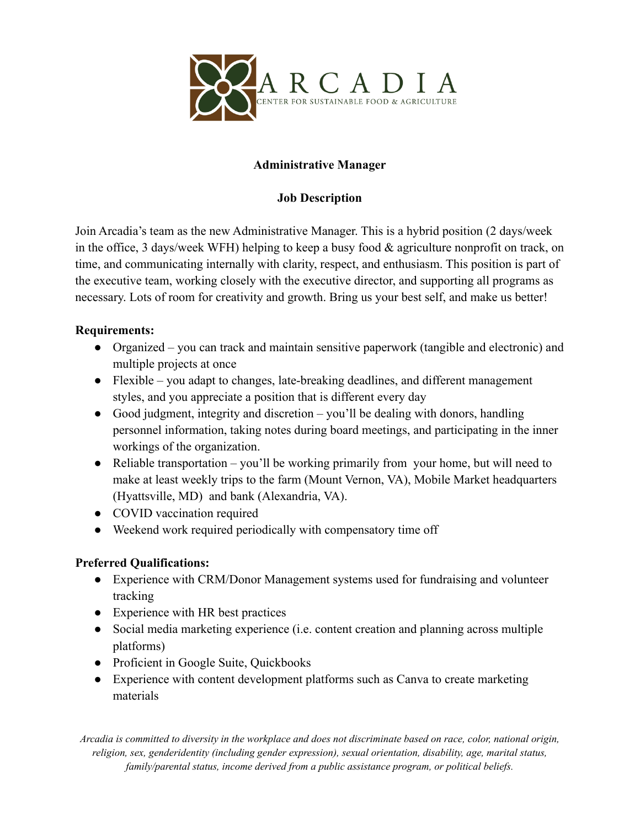

# **Administrative Manager**

### **Job Description**

Join Arcadia's team as the new Administrative Manager. This is a hybrid position (2 days/week in the office, 3 days/week WFH) helping to keep a busy food & agriculture nonprofit on track, on time, and communicating internally with clarity, respect, and enthusiasm. This position is part of the executive team, working closely with the executive director, and supporting all programs as necessary. Lots of room for creativity and growth. Bring us your best self, and make us better!

#### **Requirements:**

- Organized you can track and maintain sensitive paperwork (tangible and electronic) and multiple projects at once
- Flexible you adapt to changes, late-breaking deadlines, and different management styles, and you appreciate a position that is different every day
- Good judgment, integrity and discretion you'll be dealing with donors, handling personnel information, taking notes during board meetings, and participating in the inner workings of the organization.
- Reliable transportation you'll be working primarily from your home, but will need to make at least weekly trips to the farm (Mount Vernon, VA), Mobile Market headquarters (Hyattsville, MD) and bank (Alexandria, VA).
- COVID vaccination required
- Weekend work required periodically with compensatory time off

# **Preferred Qualifications:**

- Experience with CRM/Donor Management systems used for fundraising and volunteer tracking
- Experience with HR best practices
- Social media marketing experience (i.e. content creation and planning across multiple platforms)
- Proficient in Google Suite, Quickbooks
- Experience with content development platforms such as Canva to create marketing materials

Arcadia is committed to diversity in the workplace and does not discriminate based on race, color, national origin, *religion, sex, genderidentity (including gender expression), sexual orientation, disability, age, marital status, family/parental status, income derived from a public assistance program, or political beliefs.*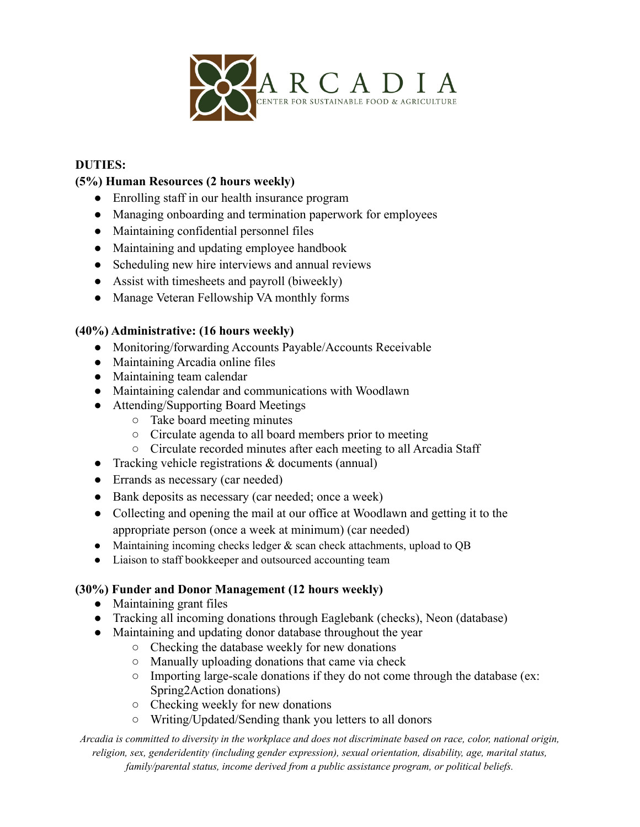

#### **DUTIES:**

### **(5%) Human Resources (2 hours weekly)**

- Enrolling staff in our health insurance program
- Managing onboarding and termination paperwork for employees
- Maintaining confidential personnel files
- Maintaining and updating employee handbook
- Scheduling new hire interviews and annual reviews
- Assist with timesheets and payroll (biweekly)
- Manage Veteran Fellowship VA monthly forms

#### **(40%) Administrative: (16 hours weekly)**

- Monitoring/forwarding Accounts Payable/Accounts Receivable
- Maintaining Arcadia online files
- Maintaining team calendar
- Maintaining calendar and communications with Woodlawn
- Attending/Supporting Board Meetings
	- Take board meeting minutes
	- Circulate agenda to all board members prior to meeting
	- Circulate recorded minutes after each meeting to all Arcadia Staff
- Tracking vehicle registrations  $\&$  documents (annual)
- Errands as necessary (car needed)
- Bank deposits as necessary (car needed; once a week)
- Collecting and opening the mail at our office at Woodlawn and getting it to the appropriate person (once a week at minimum) (car needed)
- Maintaining incoming checks ledger  $&$  scan check attachments, upload to QB
- Liaison to staff bookkeeper and outsourced accounting team

#### **(30%) Funder and Donor Management (12 hours weekly)**

- Maintaining grant files
- Tracking all incoming donations through Eaglebank (checks), Neon (database)
- Maintaining and updating donor database throughout the year
	- Checking the database weekly for new donations
	- Manually uploading donations that came via check
	- Importing large-scale donations if they do not come through the database (ex: Spring2Action donations)
	- Checking weekly for new donations
	- Writing/Updated/Sending thank you letters to all donors

Arcadia is committed to diversity in the workplace and does not discriminate based on race, color, national origin, *religion, sex, genderidentity (including gender expression), sexual orientation, disability, age, marital status, family/parental status, income derived from a public assistance program, or political beliefs.*